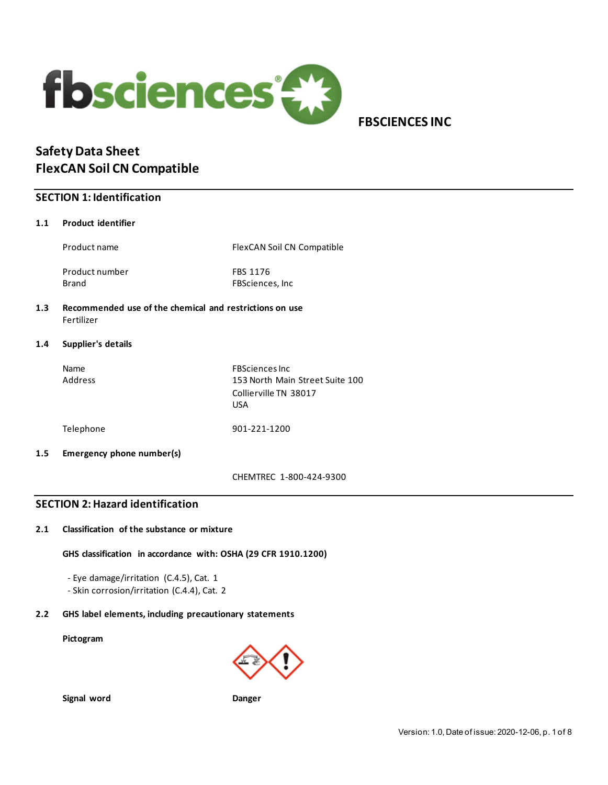

 **FBSCIENCES INC**

# **Safety Data Sheet FlexCAN Soil CN Compatible**

## **SECTION 1: Identification**

### **1.1 Product identifier**

Product name FlexCAN Soil CN Compatible

Product number FBS 1176

Brand FBSciences, Inc.

### **1.3 Recommended use of the chemical and restrictions on use** Fertilizer

### **1.4 Supplier's details**

| <b>Name</b><br>Address | <b>FBSciences Inc</b><br>153 North Main Street Suite 100<br>Collierville TN 38017<br><b>USA</b> |
|------------------------|-------------------------------------------------------------------------------------------------|
| Telephone              | 901-221-1200                                                                                    |

### **1.5 Emergency phone number(s)**

CHEMTREC 1-800-424-9300

## **SECTION 2: Hazard identification**

### **2.1 Classification of the substance or mixture**

### **GHS classification in accordance with: OSHA (29 CFR 1910.1200)**

- Eye damage/irritation (C.4.5), Cat. 1
- Skin corrosion/irritation (C.4.4), Cat. 2

## **2.2 GHS label elements, including precautionary statements**

### **Pictogram**



**Signal word Danger**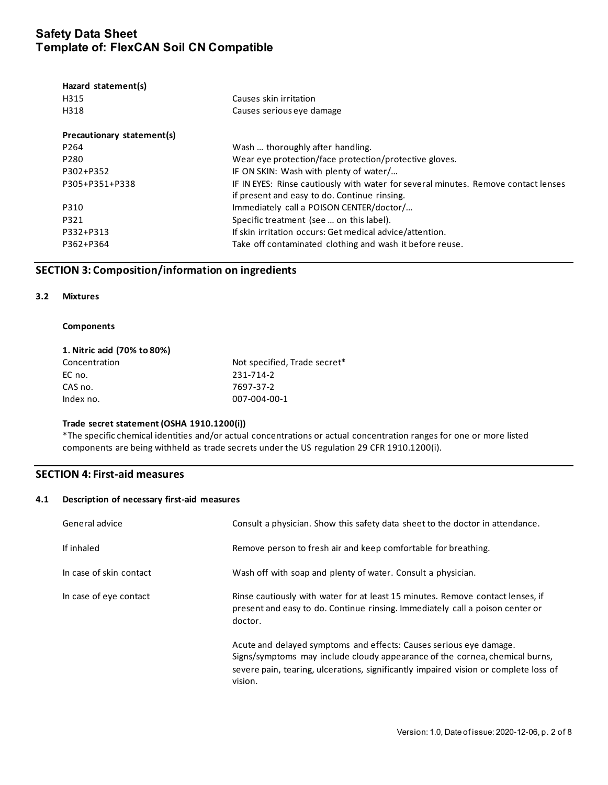| Causes skin irritation                                                             |
|------------------------------------------------------------------------------------|
| Causes serious eye damage                                                          |
|                                                                                    |
| Wash  thoroughly after handling.                                                   |
| Wear eye protection/face protection/protective gloves.                             |
| IF ON SKIN: Wash with plenty of water/                                             |
| IF IN EYES: Rinse cautiously with water for several minutes. Remove contact lenses |
| if present and easy to do. Continue rinsing.                                       |
| Immediately call a POISON CENTER/doctor/                                           |
| Specific treatment (see  on this label).                                           |
| If skin irritation occurs: Get medical advice/attention.                           |
| Take off contaminated clothing and wash it before reuse.                           |
|                                                                                    |

## **SECTION 3: Composition/information on ingredients**

### **3.2 Mixtures**

#### **Components**

| 1. Nitric acid (70% to 80%) |                              |
|-----------------------------|------------------------------|
| Concentration               | Not specified, Trade secret* |
| EC no.                      | 231-714-2                    |
| CAS no.                     | 7697-37-2                    |
| Index no.                   | 007-004-00-1                 |

### **Trade secret statement (OSHA 1910.1200(i))**

\*The specific chemical identities and/or actual concentrations or actual concentration ranges for one or more listed components are being withheld as trade secrets under the US regulation 29 CFR 1910.1200(i).

## **SECTION 4: First-aid measures**

### **4.1 Description of necessary first-aid measures**

| General advice          | Consult a physician. Show this safety data sheet to the doctor in attendance.                                                                                                                                                                        |
|-------------------------|------------------------------------------------------------------------------------------------------------------------------------------------------------------------------------------------------------------------------------------------------|
| If inhaled              | Remove person to fresh air and keep comfortable for breathing.                                                                                                                                                                                       |
| In case of skin contact | Wash off with soap and plenty of water. Consult a physician.                                                                                                                                                                                         |
| In case of eye contact  | Rinse cautiously with water for at least 15 minutes. Remove contact lenses, if<br>present and easy to do. Continue rinsing. Immediately call a poison center or<br>doctor.                                                                           |
|                         | Acute and delayed symptoms and effects: Causes serious eye damage.<br>Signs/symptoms may include cloudy appearance of the cornea, chemical burns,<br>severe pain, tearing, ulcerations, significantly impaired vision or complete loss of<br>vision. |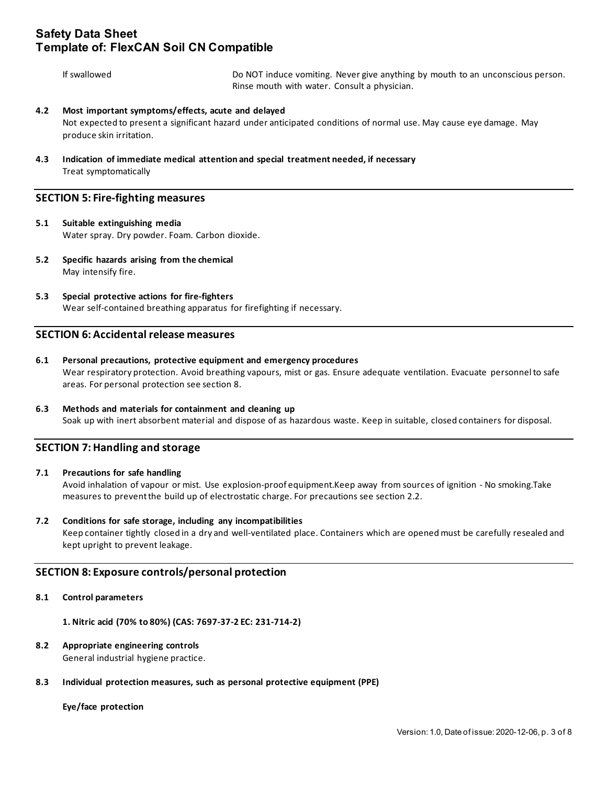If swallowed Do NOT induce vomiting. Never give anything by mouth to an unconscious person. Rinse mouth with water. Consult a physician.

### **4.2 Most important symptoms/effects, acute and delayed**

Not expected to present a significant hazard under anticipated conditions of normal use. May cause eye damage. May produce skin irritation.

**4.3 Indication of immediate medical attention and special treatment needed, if necessary** Treat symptomatically

### **SECTION 5: Fire-fighting measures**

- **5.1 Suitable extinguishing media** Water spray. Dry powder. Foam. Carbon dioxide.
- **5.2 Specific hazards arising from the chemical** May intensify fire.
- **5.3 Special protective actions for fire-fighters** Wear self-contained breathing apparatus for firefighting if necessary.

## **SECTION 6: Accidental release measures**

- **6.1 Personal precautions, protective equipment and emergency procedures** Wear respiratory protection. Avoid breathing vapours, mist or gas. Ensure adequate ventilation. Evacuate personnel to safe areas. For personal protection see section 8.
- **6.3 Methods and materials for containment and cleaning up** Soak up with inert absorbent material and dispose of as hazardous waste. Keep in suitable, closed containers for disposal.

## **SECTION 7: Handling and storage**

### **7.1 Precautions for safe handling**

Avoid inhalation of vapour or mist. Use explosion-proof equipment.Keep away from sources of ignition - No smoking.Take measures to prevent the build up of electrostatic charge. For precautions see section 2.2.

### **7.2 Conditions for safe storage, including any incompatibilities**

Keep container tightly closed in a dry and well-ventilated place. Containers which are opened must be carefully resealed and kept upright to prevent leakage.

### **SECTION 8: Exposure controls/personal protection**

### **8.1 Control parameters**

**1. Nitric acid (70% to 80%) (CAS: 7697-37-2 EC: 231-714-2)** 

### **8.2 Appropriate engineering controls**

General industrial hygiene practice.

### **8.3 Individual protection measures, such as personal protective equipment (PPE)**

### **Eye/face protection**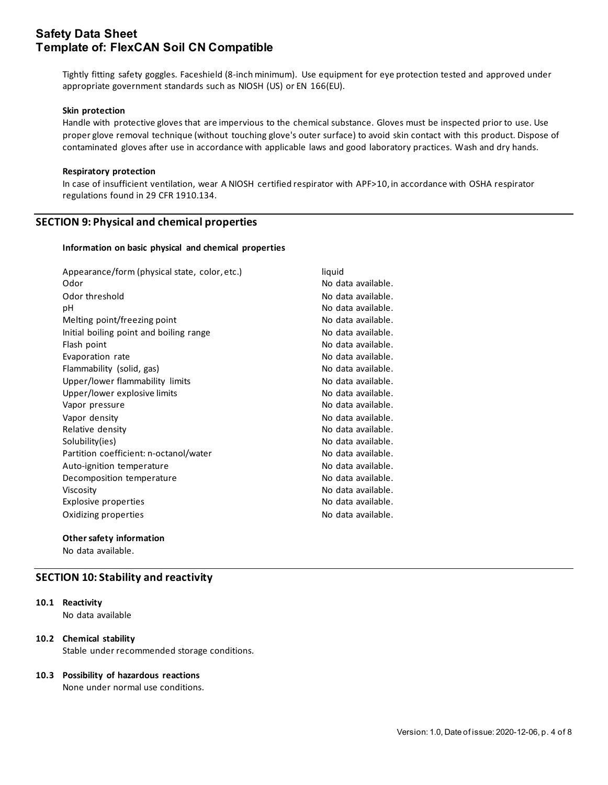Tightly fitting safety goggles. Faceshield (8-inch minimum). Use equipment for eye protection tested and approved under appropriate government standards such as NIOSH (US) or EN 166(EU).

#### **Skin protection**

Handle with protective gloves that are impervious to the chemical substance. Gloves must be inspected prior to use. Use proper glove removal technique (without touching glove's outer surface) to avoid skin contact with this product. Dispose of contaminated gloves after use in accordance with applicable laws and good laboratory practices. Wash and dry hands.

#### **Respiratory protection**

In case of insufficient ventilation, wear A NIOSH certified respirator with APF>10, in accordance with OSHA respirator regulations found in 29 CFR 1910.134.

### **SECTION 9: Physical and chemical properties**

#### **Information on basic physical and chemical properties**

| Appearance/form (physical state, color, etc.) | liquid             |
|-----------------------------------------------|--------------------|
| Odor                                          | No data available. |
| Odor threshold                                | No data available. |
| рH                                            | No data available. |
| Melting point/freezing point                  | No data available. |
| Initial boiling point and boiling range       | No data available. |
| Flash point                                   | No data available. |
| Evaporation rate                              | No data available. |
| Flammability (solid, gas)                     | No data available. |
| Upper/lower flammability limits               | No data available. |
| Upper/lower explosive limits                  | No data available. |
| Vapor pressure                                | No data available. |
| Vapor density                                 | No data available. |
| Relative density                              | No data available. |
| Solubility(ies)                               | No data available. |
| Partition coefficient: n-octanol/water        | No data available. |
| Auto-ignition temperature                     | No data available. |
| Decomposition temperature                     | No data available. |
| Viscosity                                     | No data available. |
| Explosive properties                          | No data available. |
| Oxidizing properties                          | No data available. |

#### **Other safety information**

No data available.

### **SECTION 10: Stability and reactivity**

## **10.1 Reactivity**

No data available

### **10.2 Chemical stability**

Stable under recommended storage conditions.

### **10.3 Possibility of hazardous reactions**

None under normal use conditions.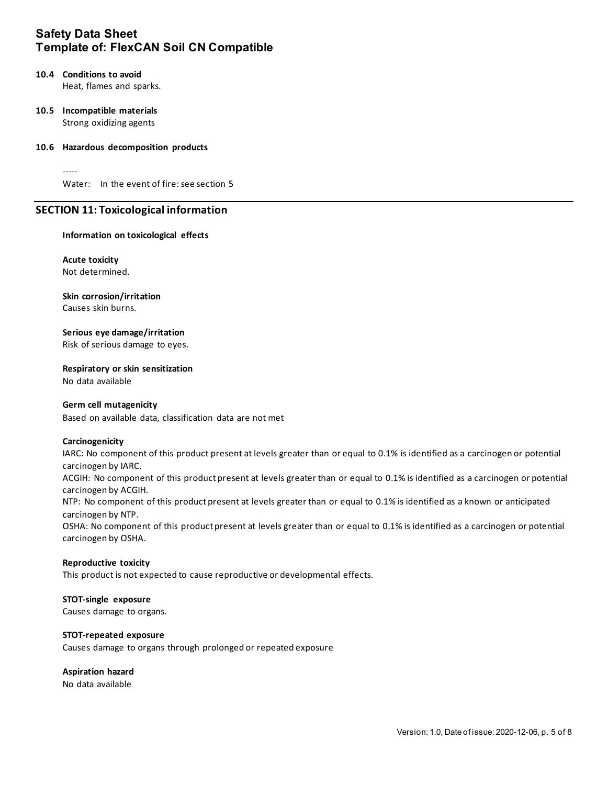## **10.4 Conditions to avoid**

Heat, flames and sparks.

### **10.5 Incompatible materials** Strong oxidizing agents

### **10.6 Hazardous decomposition products**

-----

Water: In the event of fire: see section 5

## **SECTION 11: Toxicological information**

### **Information on toxicological effects**

**Acute toxicity** Not determined.

### **Skin corrosion/irritation**

Causes skin burns.

## **Serious eye damage/irritation**

Risk of serious damage to eyes.

## **Respiratory or skin sensitization**

No data available

### **Germ cell mutagenicity**

Based on available data, classification data are not met

### **Carcinogenicity**

IARC: No component of this product present at levels greater than or equal to 0.1% is identified as a carcinogen or potential carcinogen by IARC.

ACGIH: No component of this product present at levels greater than or equal to 0.1% is identified as a carcinogen or potential carcinogen by ACGIH.

NTP: No component of this product present at levels greater than or equal to 0.1% is identified as a known or anticipated carcinogen by NTP.

OSHA: No component of this product present at levels greater than or equal to 0.1% is identified as a carcinogen or potential carcinogen by OSHA.

### **Reproductive toxicity**

This product is not expected to cause reproductive or developmental effects.

### **STOT-single exposure**

Causes damage to organs.

### **STOT-repeated exposure**

Causes damage to organs through prolonged or repeated exposure

### **Aspiration hazard**

No data available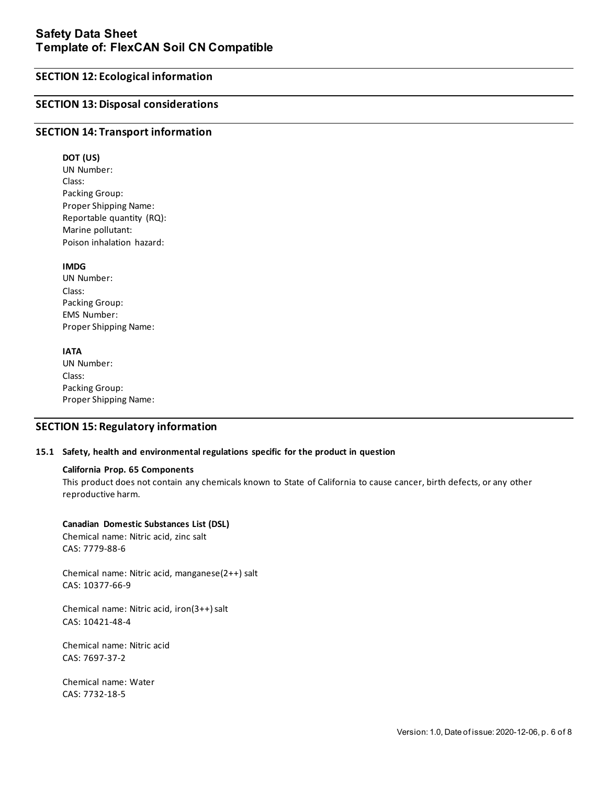## **SECTION 12: Ecological information**

## **SECTION 13: Disposal considerations**

### **SECTION 14: Transport information**

**DOT (US)** UN Number: Class: Packing Group: Proper Shipping Name: Reportable quantity (RQ): Marine pollutant: Poison inhalation hazard:

### **IMDG**

UN Number: Class: Packing Group: EMS Number: Proper Shipping Name:

### **IATA**

UN Number: Class: Packing Group: Proper Shipping Name:

### **SECTION 15: Regulatory information**

### **15.1 Safety, health and environmental regulations specific for the product in question**

### **California Prop. 65 Components**

This product does not contain any chemicals known to State of California to cause cancer, birth defects, or any other reproductive harm.

### **Canadian Domestic Substances List (DSL)**

Chemical name: Nitric acid, zinc salt CAS: 7779-88-6

Chemical name: Nitric acid, manganese(2++) salt CAS: 10377-66-9

Chemical name: Nitric acid, iron(3++) salt CAS: 10421-48-4

Chemical name: Nitric acid CAS: 7697-37-2

Chemical name: Water CAS: 7732-18-5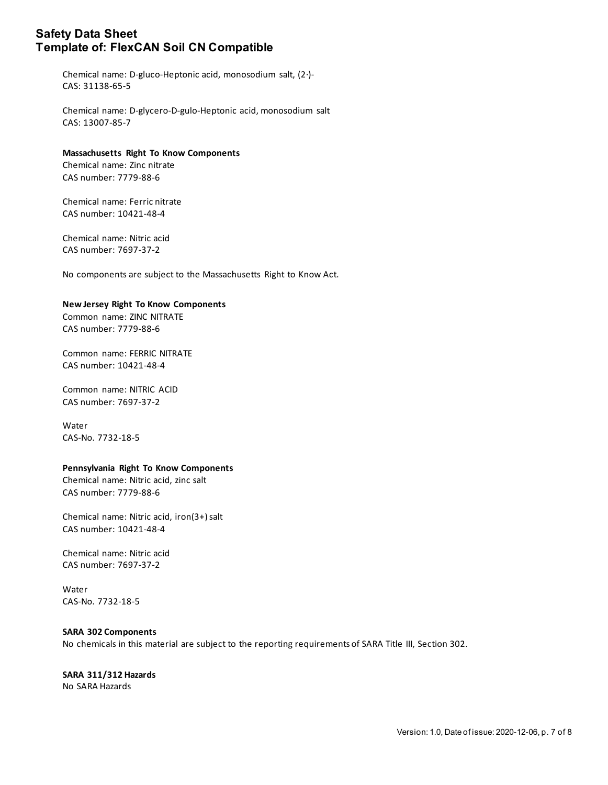Chemical name: D-gluco-Heptonic acid, monosodium salt, (2·)- CAS: 31138-65-5

Chemical name: D-glycero-D-gulo-Heptonic acid, monosodium salt CAS: 13007-85-7

### **Massachusetts Right To Know Components**

Chemical name: Zinc nitrate CAS number: 7779-88-6

Chemical name: Ferric nitrate CAS number: 10421-48-4

Chemical name: Nitric acid CAS number: 7697-37-2

No components are subject to the Massachusetts Right to Know Act.

### **New Jersey Right To Know Components**

Common name: ZINC NITRATE CAS number: 7779-88-6

Common name: FERRIC NITRATE CAS number: 10421-48-4

Common name: NITRIC ACID CAS number: 7697-37-2

Water CAS-No. 7732-18-5

### **Pennsylvania Right To Know Components**

Chemical name: Nitric acid, zinc salt CAS number: 7779-88-6

Chemical name: Nitric acid, iron(3+) salt CAS number: 10421-48-4

Chemical name: Nitric acid CAS number: 7697-37-2

Water CAS-No. 7732-18-5

### **SARA 302 Components**

No chemicals in this material are subject to the reporting requirements of SARA Title III, Section 302.

# **SARA 311/312 Hazards**

No SARA Hazards